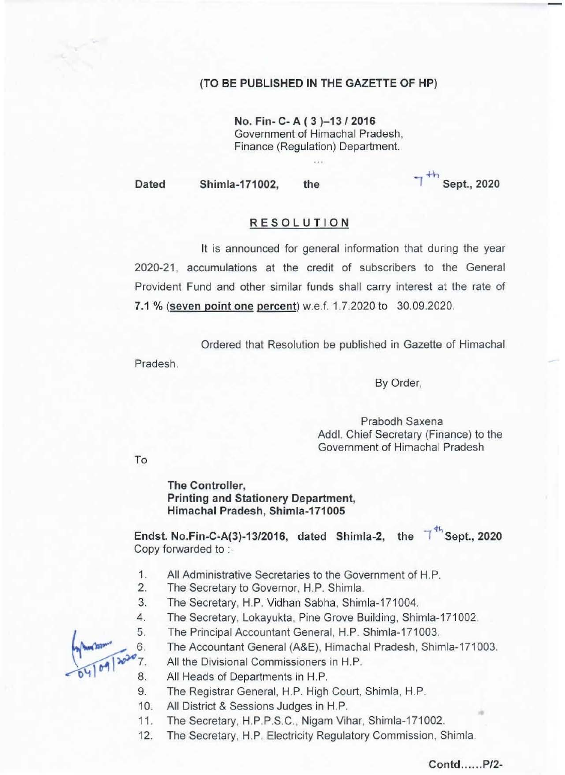•

Dated

## (TO BE PUBLISHED **IN THE** GAZETTE OF HP)

No. Fin- C- A (3)-13/2016 **Government of Himachal Pradesh,**  Finance (Regulation) Department.

Shimla-171002, the

## Sept., 2020

**It is announced for general information that during the year**  2020-21 , accumulations at the credit of subscribers to the General Provident Fund and other similar funds shall carry interest at the rate of 7,1 % (seven point one percent) w.e.f. 1.7.2020 to 30.09.2020.

Endst. No.Fin-C-A(3)-13/2016, dated Shimla-2, the  $T^{4h}$ Sept., 2020 Copy forwarded to :-

Ordered that Resolution be published in Gazette of Himachal Pradesh.

To

By Order,

Prabodh Saxena Addl. Chief Secretary (Finance) to the Government of Himachal Pradesh

The Controlier, Printing and Stationery Department, Himachal Pradesh, Shimla-17100S



## Contd......P/2-

- 1. All Administrative Secretaries to the Government of H.P.
- 2. The Secretary to Governor, H.P. Shimla.
- 3. The Secretary, H.P. Vidhan Sabha, Shimla-171004.
- 4. The Secretary, Lokayukta, Pine Grove Building, Shimla-171002.
	- The Principal Accountant General, H.P. Shimla-171003.
		- The Accountant General (A&E), Himachal Pradesh, Shimla-171003.
		- **All the Divisional Commissioners in** H.P.
	- All Heads of Departments in H.P.
- 9. The Registrar General, H.P. High Court, Shimla, H.P.
- 10. All District & Sessions Judges in H.P.
- 11. The Secretary, H.P.P.S.C. , Nigam Vihar, Shimla-171002.
- 12. The Secretary, H.P. Electricity Regulatory Commission, Shimla.

-

-

## **RESOLUTION**